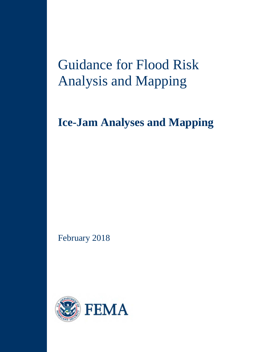# Guidance for Flood Risk Analysis and Mapping

## **Ice-Jam Analyses and Mapping**

February 2018

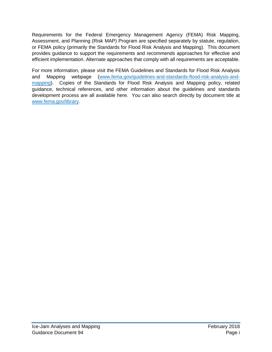Requirements for the Federal Emergency Management Agency (FEMA) Risk Mapping, Assessment, and Planning (Risk MAP) Program are specified separately by statute, regulation, or FEMA policy (primarily the Standards for Flood Risk Analysis and Mapping). This document provides guidance to support the requirements and recommends approaches for effective and efficient implementation. Alternate approaches that comply with all requirements are acceptable.

For more information, please visit the FEMA Guidelines and Standards for Flood Risk Analysis and Mapping webpage [\(www.fema.gov/guidelines-and-standards-flood-risk-analysis-and](http://www.fema.gov/guidelines-and-standards-flood-risk-analysis-and-mapping)[mapping\)](http://www.fema.gov/guidelines-and-standards-flood-risk-analysis-and-mapping). Copies of the Standards for Flood Risk Analysis and Mapping policy, related guidance, technical references, and other information about the guidelines and standards development process are all available here. You can also search directly by document title at [www.fema.gov/library.](http://www.fema.gov/library)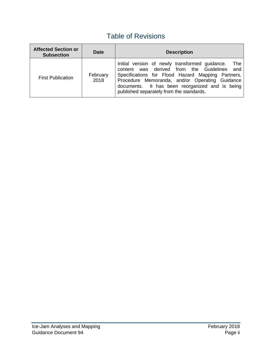## Table of Revisions

| <b>Affected Section or</b><br><b>Subsection</b> | <b>Date</b>      | <b>Description</b>                                                                                                                                                                                                                                                                                            |  |  |
|-------------------------------------------------|------------------|---------------------------------------------------------------------------------------------------------------------------------------------------------------------------------------------------------------------------------------------------------------------------------------------------------------|--|--|
| <b>First Publication</b>                        | February<br>2018 | Initial version of newly transformed guidance.<br>The<br>content was derived from the Guidelines<br>and<br>Specifications for Flood Hazard Mapping Partners,<br>Procedure Memoranda, and/or Operating Guidance<br>documents. It has been reorganized and is being<br>published separately from the standards. |  |  |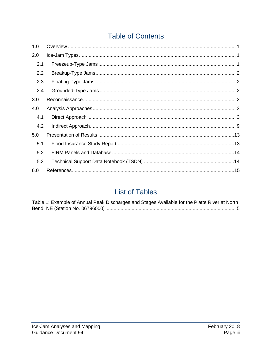## **Table of Contents**

| 1.0 |  |
|-----|--|
| 2.0 |  |
| 2.1 |  |
| 2.2 |  |
| 2.3 |  |
| 2.4 |  |
| 3.0 |  |
| 4.0 |  |
| 4.1 |  |
| 4.2 |  |
| 5.0 |  |
| 5.1 |  |
| 5.2 |  |
| 5.3 |  |
| 6.0 |  |

### **List of Tables**

| Table 1: Example of Annual Peak Discharges and Stages Available for the Platte River at North |  |
|-----------------------------------------------------------------------------------------------|--|
|                                                                                               |  |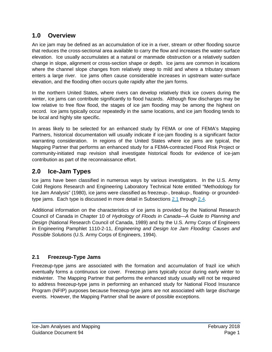#### **1.0 Overview**

An ice jam may be defined as an accumulation of ice in a river, stream or other flooding source that reduces the cross-sectional area available to carry the flow and increases the water-surface elevation. Ice usually accumulates at a natural or manmade obstruction or a relatively sudden change in slope, alignment or cross-section shape or depth. Ice jams are common in locations where the channel slope changes from relatively steep to mild and where a tributary stream enters a large river. Ice jams often cause considerable increases in upstream water-surface elevation, and the flooding often occurs quite rapidly after the jam forms.

In the northern United States, where rivers can develop relatively thick ice covers during the winter, ice jams can contribute significantly to flood hazards. Although flow discharges may be low relative to free flow flood, the stages of ice jam flooding may be among the highest on record. Ice jams typically occur repeatedly in the same locations, and ice jam flooding tends to be local and highly site specific.

In areas likely to be selected for an enhanced study by FEMA or one of FEMA's Mapping Partners, historical documentation will usually indicate if ice-jam flooding is a significant factor warranting consideration. In regions of the United States where ice jams are typical, the Mapping Partner that performs an enhanced study for a FEMA-contracted Flood Risk Project or community-initiated map revision shall investigate historical floods for evidence of ice-jam contribution as part of the reconnaissance effort.

#### **2.0 Ice-Jam Types**

Ice jams have been classified in numerous ways by various investigators. In the U.S. Army Cold Regions Research and Engineering Laboratory Technical Note entitled "Methodology for Ice Jam Analysis" (1980), ice jams were classified as freezeup-, breakup-, floating- or groundedtype jams. Each type is discussed in more detail in Subsections [2.1](#page-4-0) through [2.4.](#page-5-0)

Additional information on the characteristics of ice jams is provided by the National Research Council of Canada in Chapter 10 of *Hydrology of Floods in Canada—A Guide to Planning and Design* (National Research Council of Canada, 1989) and by the U.S. Army Corps of Engineers in Engineering Pamphlet 1110-2-11, *Engineering and Design Ice Jam Flooding: Causes and Possible Solutions* (U.S. Army Corps of Engineers, 1994).

#### <span id="page-4-0"></span>**2.1 Freezeup-Type Jams**

Freezeup-type jams are associated with the formation and accumulation of frazil ice which eventually forms a continuous ice cover. Freezeup jams typically occur during early winter to midwinter. The Mapping Partner that performs the enhanced study usually will not be required to address freezeup-type jams in performing an enhanced study for National Flood Insurance Program (NFIP) purposes because freezeup-type jams are not associated with large discharge events. However, the Mapping Partner shall be aware of possible exceptions.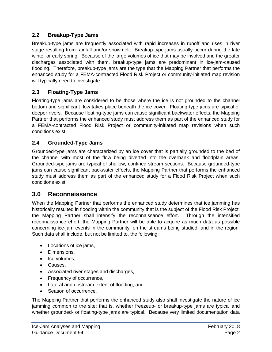#### **2.2 Breakup-Type Jams**

Breakup-type jams are frequently associated with rapid increases in runoff and rises in river stage resulting from rainfall and/or snowmelt. Breakup-type jams usually occur during the late winter or early spring. Because of the large volumes of ice that may be involved and the greater discharges associated with them, breakup-type jams are predominant in ice-jam-caused flooding. Therefore, breakup-type jams are the type that the Mapping Partner that performs the enhanced study for a FEMA-contracted Flood Risk Project or community-initiated map revision will typically need to investigate.

#### **2.3 Floating-Type Jams**

Floating-type jams are considered to be those where the ice is not grounded to the channel bottom and significant flow takes place beneath the ice cover. Floating-type jams are typical of deeper rivers. Because floating-type jams can cause significant backwater effects, the Mapping Partner that performs the enhanced study must address them as part of the enhanced study for a FEMA-contracted Flood Risk Project or community-initiated map revisions when such conditions exist.

#### <span id="page-5-0"></span>**2.4 Grounded-Type Jams**

Grounded-type jams are characterized by an ice cover that is partially grounded to the bed of the channel with most of the flow being diverted into the overbank and floodplain areas. Grounded-type jams are typical of shallow, confined stream sections. Because grounded-type jams can cause significant backwater effects, the Mapping Partner that performs the enhanced study must address them as part of the enhanced study for a Flood Risk Project when such conditions exist.

#### **3.0 Reconnaissance**

When the Mapping Partner that performs the enhanced study determines that ice jamming has historically resulted in flooding within the community that is the subject of the Flood Risk Project, the Mapping Partner shall intensify the reconnaissance effort. Through the intensified reconnaissance effort, the Mapping Partner will be able to acquire as much data as possible concerning ice-jam events in the community, on the streams being studied, and in the region. Such data shall include, but not be limited to, the following:

- Locations of ice jams,
- Dimensions,
- Ice volumes,
- Causes,
- Associated river stages and discharges,
- Frequency of occurrence,
- Lateral and upstream extent of flooding, and
- Season of occurrence.

The Mapping Partner that performs the enhanced study also shall investigate the nature of ice jamming common to the site; that is, whether freezeup- or breakup-type jams are typical and whether grounded- or floating-type jams are typical. Because very limited documentation data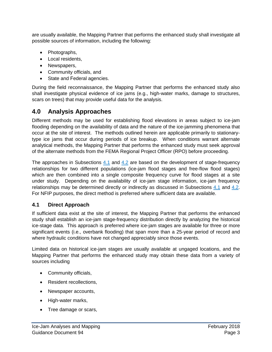are usually available, the Mapping Partner that performs the enhanced study shall investigate all possible sources of information, including the following:

- Photographs,
- Local residents,
- Newspapers,
- Community officials, and
- State and Federal agencies.

During the field reconnaissance, the Mapping Partner that performs the enhanced study also shall investigate physical evidence of ice jams (e.g., high-water marks, damage to structures, scars on trees) that may provide useful data for the analysis.

#### **4.0 Analysis Approaches**

Different methods may be used for establishing flood elevations in areas subject to ice-jam flooding depending on the availability of data and the nature of the ice-jamming phenomena that occur at the site of interest. The methods outlined herein are applicable primarily to stationarytype ice jams that occur during periods of ice breakup. When conditions warrant alternate analytical methods, the Mapping Partner that performs the enhanced study must seek approval of the alternate methods from the FEMA Regional Project Officer (RPO) before proceeding.

The approaches in Subsections [4.1](#page-6-0) and [4.2](#page-12-0) are based on the development of stage-frequency relationships for two different populations (ice-jam flood stages and free-flow flood stages) which are then combined into a single composite frequency curve for flood stages at a site under study. Depending on the availability of ice-jam stage information, ice-jam frequency relationships may be determined directly or indirectly as discussed in Subsections [4.1](#page-6-0) and [4.2.](#page-12-0) For NFIP purposes, the direct method is preferred where sufficient data are available.

#### <span id="page-6-0"></span>**4.1 Direct Approach**

If sufficient data exist at the site of interest, the Mapping Partner that performs the enhanced study shall establish an ice-jam stage-frequency distribution directly by analyzing the historical ice-stage data. This approach is preferred where ice-jam stages are available for three or more significant events (i.e., overbank flooding) that span more than a 25-year period of record and where hydraulic conditions have not changed appreciably since those events.

Limited data on historical ice-jam stages are usually available at ungaged locations, and the Mapping Partner that performs the enhanced study may obtain these data from a variety of sources including

- Community officials,
- Resident recollections,
- Newspaper accounts,
- High-water marks,
- Tree damage or scars,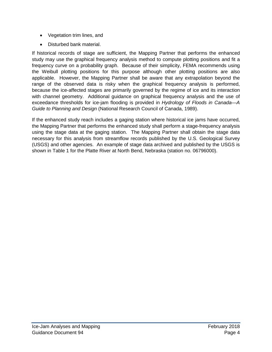- Vegetation trim lines, and
- Disturbed bank material.

If historical records of stage are sufficient, the Mapping Partner that performs the enhanced study may use the graphical frequency analysis method to compute plotting positions and fit a frequency curve on a probability graph. Because of their simplicity, FEMA recommends using the Weibull plotting positions for this purpose although other plotting positions are also applicable. However, the Mapping Partner shall be aware that any extrapolation beyond the range of the observed data is risky when the graphical frequency analysis is performed, because the ice-affected stages are primarily governed by the regime of ice and its interaction with channel geometry. Additional guidance on graphical frequency analysis and the use of exceedance thresholds for ice-jam flooding is provided in *Hydrology of Floods in Canada—A Guide to Planning and Design* (National Research Council of Canada, 1989).

If the enhanced study reach includes a gaging station where historical ice jams have occurred, the Mapping Partner that performs the enhanced study shall perform a stage-frequency analysis using the stage data at the gaging station. The Mapping Partner shall obtain the stage data necessary for this analysis from streamflow records published by the U.S. Geological Survey (USGS) and other agencies. An example of stage data archived and published by the USGS is shown in Table 1 for the Platte River at North Bend, Nebraska (station no. 06796000).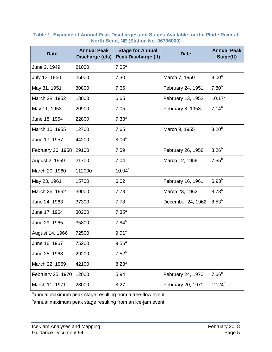| <b>Date</b>       | <b>Annual Peak</b><br>Discharge (cfs) | <b>Stage for Annual</b><br><b>Peak Discharge (ft)</b> | <b>Date</b>       | <b>Annual Peak</b><br>Stage(ft) |
|-------------------|---------------------------------------|-------------------------------------------------------|-------------------|---------------------------------|
| June 2, 1949      | 21000                                 | 7.05 <sup>a</sup>                                     |                   |                                 |
| July 12, 1950     | 25000                                 | 7.30                                                  | March 7, 1950     | 8.00 <sup>b</sup>               |
| May 31, 1951      | 30800                                 | 7.65                                                  | February 24, 1951 | 7.80 <sup>b</sup>               |
| March 28, 1952    | 18000                                 | 6.65                                                  | February 13, 1952 | $10.17^{b}$                     |
| May 11, 1953      | 20900                                 | 7.05                                                  | February 8, 1953  | $7.14^{b}$                      |
| June 18, 1954     | 22800                                 | 7.33 <sup>a</sup>                                     |                   |                                 |
| March 10, 1955    | 12700                                 | 7.65                                                  | March 9, 1955     | 8.20 <sup>b</sup>               |
| June 17, 1957     | 44200                                 | 8.06 <sup>a</sup>                                     |                   |                                 |
| February 26, 1958 | 29100                                 | 7.59                                                  | February 26, 1958 | 8.26 <sup>b</sup>               |
| August 2, 1959    | 21700                                 | 7.04                                                  | March 12, 1959    | $7.55^{b}$                      |
| March 29, 1960    | 112000                                | $10.04^a$                                             |                   |                                 |
| May 23, 1961      | 15700                                 | 6.02                                                  | February 16, 1961 | $6.93^{b}$                      |
| March 26, 1962    | 39000                                 | 7.78                                                  | March 23, 1962    | $8.78^{b}$                      |
| June 24, 1963     | 37300                                 | 7.78                                                  | December 24, 1962 | $8.53^{b}$                      |
| June 17, 1964     | 30200                                 | 7.35 <sup>a</sup>                                     |                   |                                 |
| June 29, 1965     | 35800                                 | $7.84^{\text{a}}$                                     |                   |                                 |
| August 14, 1966   | 72500                                 | 9.01 <sup>a</sup>                                     |                   |                                 |
| June 16, 1967     | 75200                                 | 9.56 <sup>a</sup>                                     |                   |                                 |
| June 25, 1968     | 29200                                 | $7.52^a$                                              |                   |                                 |
| March 22, 1969    | 42100                                 | 8.23 <sup>a</sup>                                     |                   |                                 |
| February 25, 1970 | 12000                                 | 5.94                                                  | February 24, 1970 | $7.66^{b}$                      |
| March 11, 1971    | 28000                                 | 8.27                                                  | February 20, 1971 | $12.24^{b}$                     |

#### **Table 1: Example of Annual Peak Discharges and Stages Available for the Platte River at North Bend, NE (Station No. 06796000)**

<sup>a</sup>annual maximum peak stage resulting from a free-flow event

<sup>b</sup>annual maximum peak stage resulting from an ice-jam event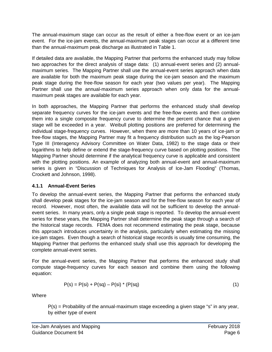The annual-maximum stage can occur as the result of either a free-flow event or an ice-jam event. For the ice-jam events, the annual-maximum peak stages can occur at a different time than the annual-maximum peak discharge as illustrated in Table 1.

If detailed data are available, the Mapping Partner that performs the enhanced study may follow two approaches for the direct analysis of stage data: (1) annual-event series and (2) annualmaximum series. The Mapping Partner shall use the annual-event series approach when data are available for both the maximum peak stage during the ice-jam season and the maximum peak stage during the free-flow season for each year (two values per year). The Mapping Partner shall use the annual-maximum series approach when only data for the annualmaximum peak stages are available for each year.

In both approaches, the Mapping Partner that performs the enhanced study shall develop separate frequency curves for the ice-jam events and the free-flow events and then combine them into a single composite frequency curve to determine the percent chance that a given stage will be exceeded in a year. Weibull plotting positions are preferred for determining the individual stage-frequency curves. However, when there are more than 10 years of ice-jam or free-flow stages, the Mapping Partner may fit a frequency distribution such as the log-Pearson Type III (Interagency Advisory Committee on Water Data, 1982) to the stage data or their logarithms to help define or extend the stage-frequency curve based on plotting positions. The Mapping Partner should determine if the analytical frequency curve is applicable and consistent with the plotting positions. An example of analyzing both annual-event and annual-maximum series is given in "Discussion of Techniques for Analysis of Ice-Jam Flooding" (Thomas, Crockett and Johnson, 1998).

#### **4.1.1 Annual-Event Series**

To develop the annual-event series, the Mapping Partner that performs the enhanced study shall develop peak stages for the ice-jam season and for the free-flow season for each year of record. However, most often, the available data will not be sufficient to develop the annualevent series. In many years, only a single peak stage is reported. To develop the annual-event series for these years, the Mapping Partner shall determine the peak stage through a search of the historical stage records. FEMA does not recommend estimating the peak stage, because this approach introduces uncertainty in the analysis, particularly when estimating the missing ice-jam stages. Even though a search of historical stage records is usually time consuming, the Mapping Partner that performs the enhanced study shall use this approach for developing the complete annual-event series.

For the annual-event series, the Mapping Partner that performs the enhanced study shall compute stage-frequency curves for each season and combine them using the following equation:

$$
P(s) = P(si) + P(sq) - P(si) * (P(sq)
$$
 (1)

Where

 $P(s)$  = Probability of the annual-maximum stage exceeding a given stage "s" in any year, by either type of event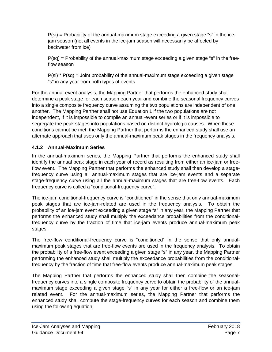P(si) = Probability of the annual-maximum stage exceeding a given stage "s" in the icejam season (not all events in the ice-jam season will necessarily be affected by backwater from ice)

 $P(sq)$  = Probability of the annual-maximum stage exceeding a given stage "s" in the freeflow season

 $P(\text{si})$  \*  $P(\text{sq})$  = Joint probability of the annual-maximum stage exceeding a given stage "s" in any year from both types of events

For the annual-event analysis, the Mapping Partner that performs the enhanced study shall determine a peak stage for each season each year and combine the seasonal frequency curves into a single composite frequency curve assuming the two populations are independent of one another. The Mapping Partner shall not use Equation 1 if the two populations are not independent, if it is impossible to compile an annual-event series or if it is impossible to segregate the peak stages into populations based on distinct hydrologic causes. When these conditions cannot be met, the Mapping Partner that performs the enhanced study shall use an alternate approach that uses only the annual-maximum peak stages in the frequency analysis.

#### **4.1.2 Annual-Maximum Series**

In the annual-maximum series, the Mapping Partner that performs the enhanced study shall identify the annual peak stage in each year of record as resulting from either an ice-jam or freeflow event. The Mapping Partner that performs the enhanced study shall then develop a stagefrequency curve using all annual-maximum stages that are ice-jam events and a separate stage-frequency curve using all the annual-maximum stages that are free-flow events. Each frequency curve is called a "conditional-frequency curve".

The ice-jam conditional-frequency curve is "conditioned" in the sense that only annual-maximum peak stages that are ice-jam-related are used in the frequency analysis. To obtain the probability of an ice-jam event exceeding a given stage "s" in any year, the Mapping Partner that performs the enhanced study shall multiply the exceedance probabilities from the conditionalfrequency curve by the fraction of time that ice-jam events produce annual-maximum peak stages.

The free-flow conditional-frequency curve is "conditioned" in the sense that only annualmaximum peak stages that are free-flow events are used in the frequency analysis. To obtain the probability of a free-flow event exceeding a given stage "s" in any year, the Mapping Partner performing the enhanced study shall multiply the exceedance probabilities from the conditionalfrequency by the fraction of time that free-flow events produce annual-maximum peak stages.

The Mapping Partner that performs the enhanced study shall then combine the seasonalfrequency curves into a single composite frequency curve to obtain the probability of the annualmaximum stage exceeding a given stage "s" in any year for either a free-flow or an ice-jam related event. For the annual-maximum series, the Mapping Partner that performs the enhanced study shall compute the stage-frequency curves for each season and combine them using the following equation: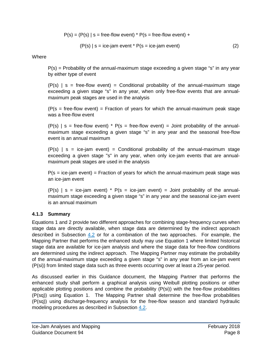$P(s) = (P(s) | s =$  free-flow event) \*  $P(s =$  free-flow event) +

$$
(P(s) | s = ice-jam event * P(s = ice-jam event)
$$
 (2)

**Where** 

 $P(s)$  = Probability of the annual-maximum stage exceeding a given stage "s" in any year by either type of event

 $(P(s) \mid s = \text{free-flow event}) =$  Conditional probability of the annual-maximum stage exceeding a given stage "s" in any year, when only free-flow events that are annualmaximum peak stages are used in the analysis

 $(P(s = free-flow event) = Fraction of years for which the annual-maximum peak stage$ was a free-flow event

 $(P(s)$  | s = free-flow event) \* P(s = free-flow event) = Joint probability of the annualmaximum stage exceeding a given stage "s" in any year and the seasonal free-flow event is an annual maximum

 $(P(s) \mid s = ice-iam event) =$  Conditional probability of the annual-maximum stage exceeding a given stage "s" in any year, when only ice-jam events that are annualmaximum peak stages are used in the analysis

 $P(s = ice-jam event) = Fraction of years for which the annual-maximum peak stage was$ an ice-jam event

 $(P(s)$  | s = ice-jam event) \* P(s = ice-jam event) = Joint probability of the annualmaximum stage exceeding a given stage "s" in any year and the seasonal ice-jam event is an annual maximum

#### **4.1.3 Summary**

Equations 1 and 2 provide two different approaches for combining stage-frequency curves when stage data are directly available, when stage data are determined by the indirect approach described in Subsection  $4.2$  or for a combination of the two approaches. For example, the Mapping Partner that performs the enhanced study may use Equation 1 where limited historical stage data are available for ice-jam analysis and where the stage data for free-flow conditions are determined using the indirect approach. The Mapping Partner may estimate the probability of the annual-maximum stage exceeding a given stage "s" in any year from an ice-jam event (P(si)) from limited stage data such as three events occurring over at least a 25-year period.

As discussed earlier in this Guidance document, the Mapping Partner that performs the enhanced study shall perform a graphical analysis using Weibull plotting positions or other applicable plotting positions and combine the probability (P(si)) with the free-flow probabilities (P(sq)) using Equation 1. The Mapping Partner shall determine the free-flow probabilities (P(sq)) using discharge-frequency analysis for the free-flow season and standard hydraulic modeling procedures as described in Subsection [4.2.](#page-12-0)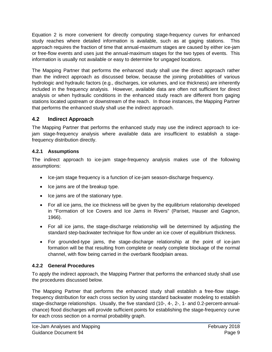Equation 2 is more convenient for directly computing stage-frequency curves for enhanced study reaches where detailed information is available, such as at gaging stations. This approach requires the fraction of time that annual-maximum stages are caused by either ice-jam or free-flow events and uses just the annual-maximum stages for the two types of events. This information is usually not available or easy to determine for ungaged locations.

The Mapping Partner that performs the enhanced study shall use the direct approach rather than the indirect approach as discussed below, because the joining probabilities of various hydrologic and hydraulic factors (e.g., discharges, ice volumes, and ice thickness) are inherently included in the frequency analysis. However, available data are often not sufficient for direct analysis or when hydraulic conditions in the enhanced study reach are different from gaging stations located upstream or downstream of the reach. In those instances, the Mapping Partner that performs the enhanced study shall use the indirect approach.

#### <span id="page-12-0"></span>**4.2 Indirect Approach**

The Mapping Partner that performs the enhanced study may use the indirect approach to icejam stage-frequency analysis where available data are insufficient to establish a stagefrequency distribution directly.

#### **4.2.1 Assumptions**

The indirect approach to ice-jam stage-frequency analysis makes use of the following assumptions:

- Ice-jam stage frequency is a function of ice-jam season-discharge frequency.
- Ice jams are of the breakup type.
- Ice jams are of the stationary type.
- For all ice jams, the ice thickness will be given by the equilibrium relationship developed in "Formation of Ice Covers and Ice Jams in Rivers" (Pariset, Hauser and Gagnon, 1966).
- For all ice jams, the stage-discharge relationship will be determined by adjusting the standard step-backwater technique for flow under an ice cover of equilibrium thickness.
- For grounded-type jams, the stage-discharge relationship at the point of ice-jam formation will be that resulting from complete or nearly complete blockage of the normal channel, with flow being carried in the overbank floodplain areas.

#### **4.2.2 General Procedures**

To apply the indirect approach, the Mapping Partner that performs the enhanced study shall use the procedures discussed below.

The Mapping Partner that performs the enhanced study shall establish a free-flow stagefrequency distribution for each cross section by using standard backwater modeling to establish stage-discharge relationships. Usually, the five standard (10-, 4-, 2-, 1- and 0.2-percent-annualchance) flood discharges will provide sufficient points for establishing the stage-frequency curve for each cross section on a normal probability graph.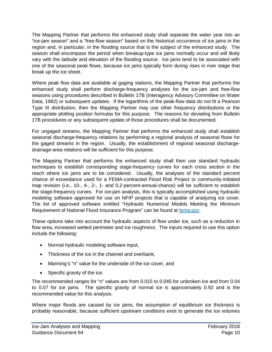The Mapping Partner that performs the enhanced study shall separate the water year into an "ice-jam season" and a "free-flow season" based on the historical occurrence of ice jams in the region and, in particular, in the flooding source that is the subject of the enhanced study. The season shall encompass the period when breakup-type ice jams normally occur and will likely vary with the latitude and elevation of the flooding source. Ice jams tend to be associated with one of the seasonal peak flows, because ice jams typically form during rises in river stage that break up the ice sheet.

Where peak flow data are available at gaging stations, the Mapping Partner that performs the enhanced study shall perform discharge-frequency analyses for the ice-jam and free-flow seasons using procedures described in Bulletin 17B (Interagency Advisory Committee on Water Data, 1982) or subsequent updates. If the logarithms of the peak-flow data do not fit a Pearson Type III distribution, then the Mapping Partner may use other frequency distributions or the appropriate plotting position formulas for this purpose. The reasons for deviating from Bulletin 17B procedures or any subsequent update of those procedures shall be documented.

For ungaged streams, the Mapping Partner that performs the enhanced study shall establish seasonal discharge-frequency relations by performing a regional analysis of seasonal flows for the gaged streams in the region. Usually, the establishment of regional seasonal dischargedrainage-area relations will be sufficient for this purpose.

The Mapping Partner that performs the enhanced study shall then use standard hydraulic techniques to establish corresponding stage-frequency curves for each cross section in the reach where ice jams are to be considered. Usually, the analyses of the standard percent chance of exceedance used for a FEMA-contracted Flood Risk Project or community-initiated map revision (i.e., 10-, 4-, 2-, 1- and 0.2-percent-annual-chance) will be sufficient to establish the stage-frequency curves. For ice-jam analysis, this is typically accomplished using hydraulic modeling software approved for use on NFIP projects that is capable of analyzing ice cover. The list of approved software entitled "Hydraulic Numerical Models Meeting the Minimum Requirement of National Flood Insurance Program" can be found at [fema.gov.](https://www.fema.gov/hydraulic-numerical-models-meeting-minimum-requirement-national-flood-insurance-program)

These options take into account the hydraulic aspects of flow under ice, such as a reduction in flow area, increased wetted perimeter and ice roughness. The inputs required to use this option include the following:

- Normal hydraulic modeling software input,
- Thickness of the ice in the channel and overbank,
- Manning's "n" value for the underside of the ice cover, and
- Specific gravity of the ice.

The recommended ranges for "n" values are from 0.015 to 0.045 for unbroken ice and from 0.04 to 0.07 for ice jams. The specific gravity of normal ice is approximately 0.92 and is the recommended value for this analysis.

Where major floods are caused by ice jams, the assumption of equilibrium ice thickness is probably reasonable, because sufficient upstream conditions exist to generate the ice volumes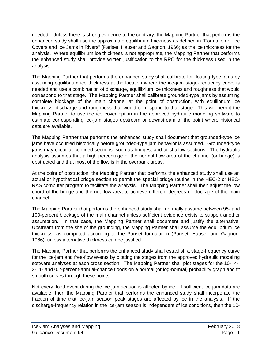needed. Unless there is strong evidence to the contrary, the Mapping Partner that performs the enhanced study shall use the approximate equilibrium thickness as defined in "Formation of Ice Covers and Ice Jams in Rivers" (Pariset, Hauser and Gagnon, 1966) as the ice thickness for the analysis. Where equilibrium ice thickness is not appropriate, the Mapping Partner that performs the enhanced study shall provide written justification to the RPO for the thickness used in the analysis.

The Mapping Partner that performs the enhanced study shall calibrate for floating-type jams by assuming equilibrium ice thickness at the location where the ice-jam stage-frequency curve is needed and use a combination of discharge, equilibrium ice thickness and roughness that would correspond to that stage. The Mapping Partner shall calibrate grounded-type jams by assuming complete blockage of the main channel at the point of obstruction, with equilibrium ice thickness, discharge and roughness that would correspond to that stage. This will permit the Mapping Partner to use the ice cover option in the approved hydraulic modeling software to estimate corresponding ice-jam stages upstream or downstream of the point where historical data are available.

The Mapping Partner that performs the enhanced study shall document that grounded-type ice jams have occurred historically before grounded-type jam behavior is assumed. Grounded-type jams may occur at confined sections, such as bridges, and at shallow sections. The hydraulic analysis assumes that a high percentage of the normal flow area of the channel (or bridge) is obstructed and that most of the flow is in the overbank areas.

At the point of obstruction, the Mapping Partner that performs the enhanced study shall use an actual or hypothetical bridge section to permit the special bridge routine in the HEC-2 or HEC-RAS computer program to facilitate the analysis. The Mapping Partner shall then adjust the low chord of the bridge and the net flow area to achieve different degrees of blockage of the main channel.

The Mapping Partner that performs the enhanced study shall normally assume between 95- and 100-percent blockage of the main channel unless sufficient evidence exists to support another assumption. In that case, the Mapping Partner shall document and justify the alternative. Upstream from the site of the grounding, the Mapping Partner shall assume the equilibrium ice thickness, as computed according to the Pariset formulation (Pariset, Hauser and Gagnon, 1966), unless alternative thickness can be justified.

The Mapping Partner that performs the enhanced study shall establish a stage-frequency curve for the ice-jam and free-flow events by plotting the stages from the approved hydraulic modeling software analyses at each cross section. The Mapping Partner shall plot stages for the 10-, 4-, 2-, 1- and 0.2-percent-annual-chance floods on a normal (or log-normal) probability graph and fit smooth curves through these points.

Not every flood event during the ice-jam season is affected by ice. If sufficient ice-jam data are available, then the Mapping Partner that performs the enhanced study shall incorporate the fraction of time that ice-jam season peak stages are affected by ice in the analysis. If the discharge-frequency relation in the ice-jam season is independent of ice conditions, then the 10-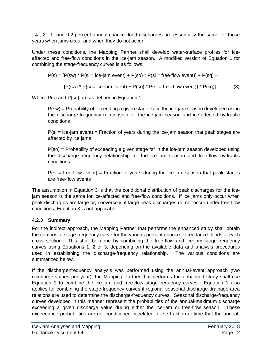, 4-, 2-, 1- and 0.2-percent-annual-chance flood discharges are essentially the same for those years when jams occur and when they do not occur.

Under these conditions, the Mapping Partner shall develop water-surface profiles for iceaffected and free-flow conditions in the ice-jam season. A modified version of Equation 1 for combining the stage-frequency curves is as follows:

$$
P(s) = [P(sw) * P(size = ice-jam event) + P(so) * P(size = free-flow event)] + P(sq) -
$$

$$
[P(sw) * P(size = ice-jam event) + P(so) * P(size = free-flow event)) * P(sq)]
$$
 (3)

Where P(s) and P(sq) are as defined in Equation 1

P(sw) = Probability of exceeding a given stage "s" in the ice-jam season developed using the discharge-frequency relationship for the ice-jam season and ice-affected hydraulic conditions

 $P(\text{si} = \text{ice-jam event}) = \text{Fraction of years during the ice-jam season that peak stages are}$ affected by ice jams

P(so) = Probability of exceeding a given stage "s" in the ice-jam season developed using the discharge-frequency relationship for the ice-jam season and free-flow hydraulic conditions

 $P(\text{si} = \text{free-flow event}) = \text{Fraction of years during the ice-jam season that peak stages}$ are free-flow events

The assumption in Equation 3 is that the conditional distribution of peak discharges for the icejam season is the same for ice-affected and free-flow conditions. If ice jams only occur when peak discharges are large or, conversely, if large peak discharges do not occur under free-flow conditions, Equation 3 is not applicable.

#### **4.2.3 Summary**

For the indirect approach, the Mapping Partner that performs the enhanced study shall obtain the composite stage-frequency curve for the various percent-chance-exceedance floods at each cross section. This shall be done by combining the free-flow and ice-jam stage-frequency curves using Equations 1, 2 or 3, depending on the available data and analysis procedures used in establishing the discharge-frequency relationship. The various conditions are summarized below.

If the discharge-frequency analysis was performed using the annual-event approach (two discharge values per year), the Mapping Partner that performs the enhanced study shall use Equation 1 to combine the ice-jam and free-flow stage-frequency curves. Equation 1 also applies for combining the stage-frequency curves if regional seasonal discharge-drainage-area relations are used to determine the discharge-frequency curves. Seasonal discharge-frequency curves developed in this manner represent the probabilities of the annual-maximum discharge exceeding a given discharge value during either the ice-jam or free-flow season. These exceedance probabilities are not conditioned or related to the fraction of time that the annual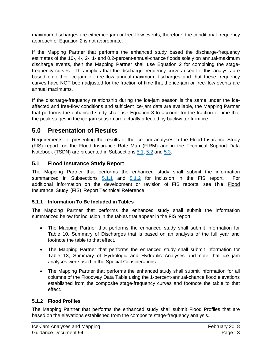maximum discharges are either ice-jam or free-flow events; therefore, the conditional-frequency approach of Equation 2 is not appropriate.

If the Mapping Partner that performs the enhanced study based the discharge-frequency estimates of the 10-, 4-, 2-, 1- and 0.2-percent-annual-chance floods solely on annual-maximum discharge events, then the Mapping Partner shall use Equation 2 for combining the stagefrequency curves. This implies that the discharge-frequency curves used for this analysis are based on either ice-jam or free-flow annual-maximum discharges and that these frequency curves have NOT been adjusted for the fraction of time that the ice-jam or free-flow events are annual maximums.

If the discharge-frequency relationship during the ice-jam season is the same under the iceaffected and free-flow conditions and sufficient ice-jam data are available, the Mapping Partner that performs the enhanced study shall use Equation 3 to account for the fraction of time that the peak stages in the ice-jam season are actually affected by backwater from ice.

#### **5.0 Presentation of Results**

Requirements for presenting the results of the ice-jam analyses in the Flood Insurance Study (FIS) report, on the Flood Insurance Rate Map (FIRM) and in the Technical Support Data Notebook (TSDN) are presented in Subsections [5.1,](#page-16-0) [5.2](#page-17-0) and [5.3.](#page-17-1)

#### <span id="page-16-0"></span>**5.1 Flood Insurance Study Report**

The Mapping Partner that performs the enhanced study shall submit the information summarized in Subsections  $5.1.1$  [and](#page-16-2)  $5.1.2$  for inclusion in the FIS report. For additional information on the development or revision of FIS reports, see the Flood Insurance Study (FIS) Report Technical Reference.

#### <span id="page-16-1"></span>**5.1.1 Information To Be Included in Tables**

The Mapping Partner that performs the enhanced study shall submit the information summarized below for inclusion in the tables that appear in the FIS report.

- The Mapping Partner that performs the enhanced study shall submit information for Table 10, Summary of Discharges that is based on an analysis of the full year and footnote the table to that effect.
- The Mapping Partner that performs the enhanced study shall submit information for Table 13, Summary of Hydrologic and Hydraulic Analyses and note that ice jam analyses were used in the Special Considerations.
- The Mapping Partner that performs the enhanced study shall submit information for all columns of the Floodway Data Table using the 1-percent-annual-chance flood elevations established from the composite stage-frequency curves and footnote the table to that effect.

#### <span id="page-16-2"></span>**5.1.2 Flood Profiles**

The Mapping Partner that performs the enhanced study shall submit Flood Profiles that are based on the elevations established from the composite stage-frequency analysis.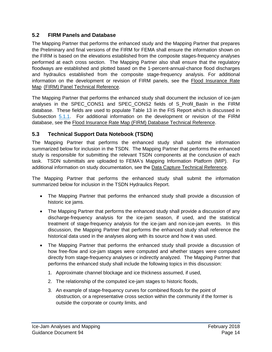#### <span id="page-17-0"></span>**5.2 FIRM Panels and Database**

The Mapping Partner that performs the enhanced study and the Mapping Partner that prepares the Preliminary and final versions of the FIRM for FEMA shall ensure the information shown on the FIRM is based on the elevations established from the composite stages-frequency analyses performed at each cross section. The Mapping Partner also shall ensure that the regulatory floodways are established and plotted based on the 1-percent-annual-chance flood discharges and hydraulics established from the composite stage-frequency analysis. For additional information on the development or revision of FIRM panels, see the Flood Insurance Rate Map (FIRM) Panel Technical Reference.

The Mapping Partner that performs the enhanced study shall document the inclusion of ice-jam analyses in the SPEC CONS1 and SPEC CONS2 fields of S\_Profil\_Basln in the FIRM database. These fields are used to populate Table 13 in the FIS Report which is discussed in Subsection [5.1.1.](#page-16-1) For additional information on the development or revision of the FIRM database, see the Flood Insurance Rate Map (FIRM) Database Technical Reference.

#### <span id="page-17-1"></span>**5.3 Technical Support Data Notebook (TSDN)**

The Mapping Partner that performs the enhanced study shall submit the information summarized below for inclusion in the TSDN. The Mapping Partner that performs the enhanced study is responsible for submitting the relevant TSDN components at the conclusion of each task. TSDN submittals are uploaded to FEMA's Mapping Information Platform (MIP). For additional information on study documentation, see the Data Capture Technical Reference.

The Mapping Partner that performs the enhanced study shall submit the information summarized below for inclusion in the TSDN Hydraulics Report.

- The Mapping Partner that performs the enhanced study shall provide a discussion of historic ice jams.
- The Mapping Partner that performs the enhanced study shall provide a discussion of any discharge-frequency analysis for the ice-jam season, if used, and the statistical treatment of stage-frequency analysis for the ice-jam and non-ice-jam events. In this discussion, the Mapping Partner that performs the enhanced study shall reference the historical data used in the analyses along with its source and how it was used.
- The Mapping Partner that performs the enhanced study shall provide a discussion of how free-flow and ice-jam stages were computed and whether stages were computed directly from stage-frequency analyses or indirectly analyzed. The Mapping Partner that performs the enhanced study shall include the following topics in this discussion:
	- 1. Approximate channel blockage and ice thickness assumed, if used,
	- 2. The relationship of the computed ice-jam stages to historic floods,
	- 3. An example of stage-frequency curves for combined floods for the point of obstruction, or a representative cross section within the community if the former is outside the corporate or county limits, and